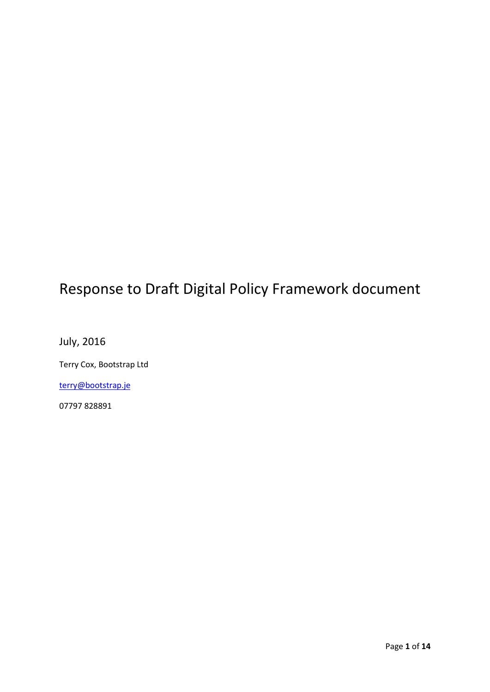# Response to Draft Digital Policy Framework document

July, 2016

Terry Cox, Bootstrap Ltd

[terry@bootstrap.je](mailto:terry@bootstrap.je)

07797 828891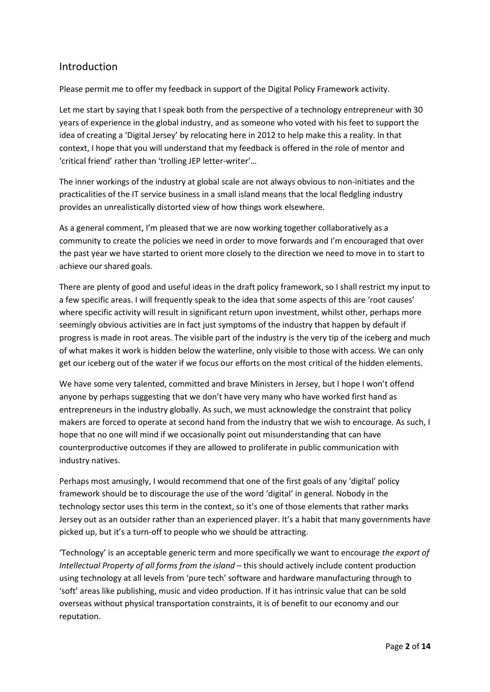# Introduction

Please permit me to offer my feedback in support of the Digital Policy Framework activity.

Let me start by saying that I speak both from the perspective of a technology entrepreneur with 30 years of experience in the global industry, and as someone who voted with his feet to support the idea of creating a 'Digital Jersey' by relocating here in 2012 to help make this a reality. In that context, I hope that you will understand that my feedback is offered in the role of mentor and 'critical friend' rather than 'trolling JEP letter-writer'…

The inner workings of the industry at global scale are not always obvious to non-initiates and the practicalities of the IT service business in a small island means that the local fledgling industry provides an unrealistically distorted view of how things work elsewhere.

As a general comment, I'm pleased that we are now working together collaboratively as a community to create the policies we need in order to move forwards and I'm encouraged that over the past year we have started to orient more closely to the direction we need to move in to start to achieve our shared goals.

There are plenty of good and useful ideas in the draft policy framework, so I shall restrict my input to a few specific areas. I will frequently speak to the idea that some aspects of this are 'root causes' where specific activity will result in significant return upon investment, whilst other, perhaps more seemingly obvious activities are in fact just symptoms of the industry that happen by default if progress is made in root areas. The visible part of the industry is the very tip of the iceberg and much of what makes it work is hidden below the waterline, only visible to those with access. We can only get our iceberg out of the water if we focus our efforts on the most critical of the hidden elements.

We have some very talented, committed and brave Ministers in Jersey, but I hope I won't offend anyone by perhaps suggesting that we don't have very many who have worked first hand as entrepreneurs in the industry globally. As such, we must acknowledge the constraint that policy makers are forced to operate at second hand from the industry that we wish to encourage. As such, I hope that no one will mind if we occasionally point out misunderstanding that can have counterproductive outcomes if they are allowed to proliferate in public communication with industry natives.

Perhaps most amusingly, I would recommend that one of the first goals of any 'digital' policy framework should be to discourage the use of the word 'digital' in general. Nobody in the technology sector uses this term in the context, so it's one of those elements that rather marks Jersey out as an outsider rather than an experienced player. It's a habit that many governments have picked up, but it's a turn-off to people who we should be attracting.

'Technology' is an acceptable generic term and more specifically we want to encourage *the export of Intellectual Property of all forms from the island* – this should actively include content production using technology at all levels from 'pure tech' software and hardware manufacturing through to 'soft' areas like publishing, music and video production. If it has intrinsic value that can be sold overseas without physical transportation constraints, it is of benefit to our economy and our reputation.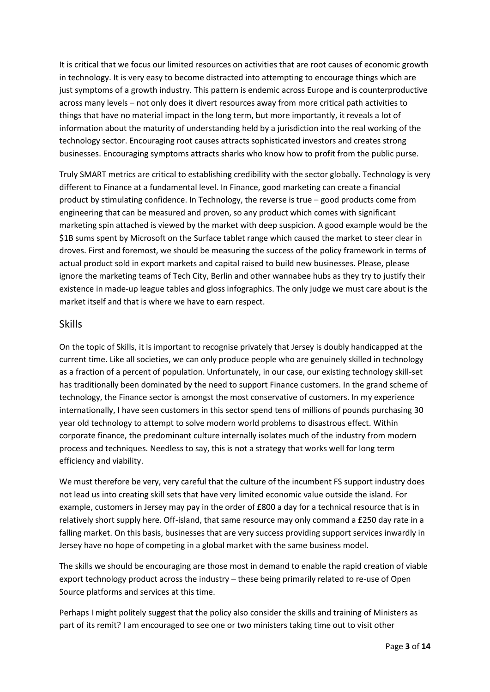It is critical that we focus our limited resources on activities that are root causes of economic growth in technology. It is very easy to become distracted into attempting to encourage things which are just symptoms of a growth industry. This pattern is endemic across Europe and is counterproductive across many levels – not only does it divert resources away from more critical path activities to things that have no material impact in the long term, but more importantly, it reveals a lot of information about the maturity of understanding held by a jurisdiction into the real working of the technology sector. Encouraging root causes attracts sophisticated investors and creates strong businesses. Encouraging symptoms attracts sharks who know how to profit from the public purse.

Truly SMART metrics are critical to establishing credibility with the sector globally. Technology is very different to Finance at a fundamental level. In Finance, good marketing can create a financial product by stimulating confidence. In Technology, the reverse is true – good products come from engineering that can be measured and proven, so any product which comes with significant marketing spin attached is viewed by the market with deep suspicion. A good example would be the \$1B sums spent by Microsoft on the Surface tablet range which caused the market to steer clear in droves. First and foremost, we should be measuring the success of the policy framework in terms of actual product sold in export markets and capital raised to build new businesses. Please, please ignore the marketing teams of Tech City, Berlin and other wannabee hubs as they try to justify their existence in made-up league tables and gloss infographics. The only judge we must care about is the market itself and that is where we have to earn respect.

#### Skills

On the topic of Skills, it is important to recognise privately that Jersey is doubly handicapped at the current time. Like all societies, we can only produce people who are genuinely skilled in technology as a fraction of a percent of population. Unfortunately, in our case, our existing technology skill-set has traditionally been dominated by the need to support Finance customers. In the grand scheme of technology, the Finance sector is amongst the most conservative of customers. In my experience internationally, I have seen customers in this sector spend tens of millions of pounds purchasing 30 year old technology to attempt to solve modern world problems to disastrous effect. Within corporate finance, the predominant culture internally isolates much of the industry from modern process and techniques. Needless to say, this is not a strategy that works well for long term efficiency and viability.

We must therefore be very, very careful that the culture of the incumbent FS support industry does not lead us into creating skill sets that have very limited economic value outside the island. For example, customers in Jersey may pay in the order of £800 a day for a technical resource that is in relatively short supply here. Off-island, that same resource may only command a £250 day rate in a falling market. On this basis, businesses that are very success providing support services inwardly in Jersey have no hope of competing in a global market with the same business model.

The skills we should be encouraging are those most in demand to enable the rapid creation of viable export technology product across the industry – these being primarily related to re-use of Open Source platforms and services at this time.

Perhaps I might politely suggest that the policy also consider the skills and training of Ministers as part of its remit? I am encouraged to see one or two ministers taking time out to visit other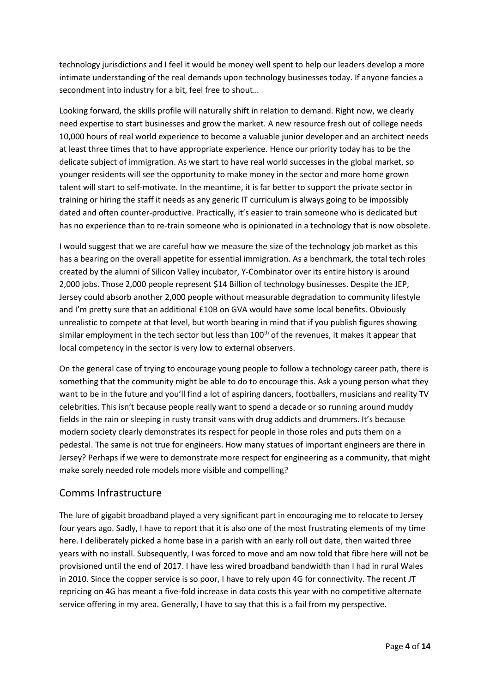technology jurisdictions and I feel it would be money well spent to help our leaders develop a more intimate understanding of the real demands upon technology businesses today. If anyone fancies a secondment into industry for a bit, feel free to shout…

Looking forward, the skills profile will naturally shift in relation to demand. Right now, we clearly need expertise to start businesses and grow the market. A new resource fresh out of college needs 10,000 hours of real world experience to become a valuable junior developer and an architect needs at least three times that to have appropriate experience. Hence our priority today has to be the delicate subject of immigration. As we start to have real world successes in the global market, so younger residents will see the opportunity to make money in the sector and more home grown talent will start to self-motivate. In the meantime, it is far better to support the private sector in training or hiring the staff it needs as any generic IT curriculum is always going to be impossibly dated and often counter-productive. Practically, it's easier to train someone who is dedicated but has no experience than to re-train someone who is opinionated in a technology that is now obsolete.

I would suggest that we are careful how we measure the size of the technology job market as this has a bearing on the overall appetite for essential immigration. As a benchmark, the total tech roles created by the alumni of Silicon Valley incubator, Y-Combinator over its entire history is around 2,000 jobs. Those 2,000 people represent \$14 Billion of technology businesses. Despite the JEP, Jersey could absorb another 2,000 people without measurable degradation to community lifestyle and I'm pretty sure that an additional £10B on GVA would have some local benefits. Obviously unrealistic to compete at that level, but worth bearing in mind that if you publish figures showing similar employment in the tech sector but less than  $100<sup>th</sup>$  of the revenues, it makes it appear that local competency in the sector is very low to external observers.

On the general case of trying to encourage young people to follow a technology career path, there is something that the community might be able to do to encourage this. Ask a young person what they want to be in the future and you'll find a lot of aspiring dancers, footballers, musicians and reality TV celebrities. This isn't because people really want to spend a decade or so running around muddy fields in the rain or sleeping in rusty transit vans with drug addicts and drummers. It's because modern society clearly demonstrates its respect for people in those roles and puts them on a pedestal. The same is not true for engineers. How many statues of important engineers are there in Jersey? Perhaps if we were to demonstrate more respect for engineering as a community, that might make sorely needed role models more visible and compelling?

#### Comms Infrastructure

The lure of gigabit broadband played a very significant part in encouraging me to relocate to Jersey four years ago. Sadly, I have to report that it is also one of the most frustrating elements of my time here. I deliberately picked a home base in a parish with an early roll out date, then waited three years with no install. Subsequently, I was forced to move and am now told that fibre here will not be provisioned until the end of 2017. I have less wired broadband bandwidth than I had in rural Wales in 2010. Since the copper service is so poor, I have to rely upon 4G for connectivity. The recent JT repricing on 4G has meant a five-fold increase in data costs this year with no competitive alternate service offering in my area. Generally, I have to say that this is a fail from my perspective.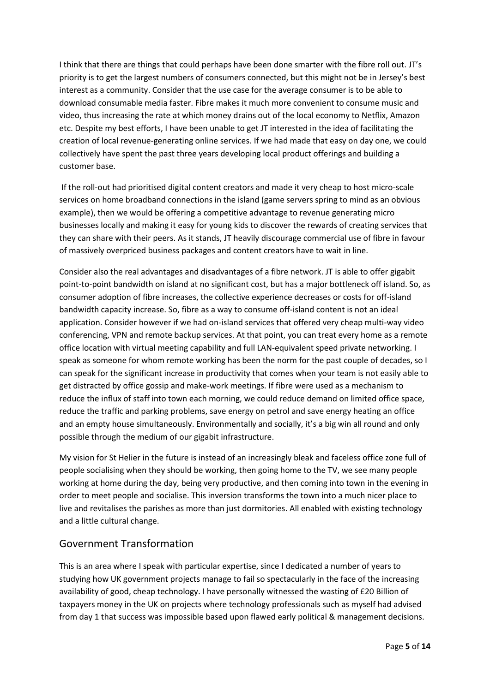I think that there are things that could perhaps have been done smarter with the fibre roll out. JT's priority is to get the largest numbers of consumers connected, but this might not be in Jersey's best interest as a community. Consider that the use case for the average consumer is to be able to download consumable media faster. Fibre makes it much more convenient to consume music and video, thus increasing the rate at which money drains out of the local economy to Netflix, Amazon etc. Despite my best efforts, I have been unable to get JT interested in the idea of facilitating the creation of local revenue-generating online services. If we had made that easy on day one, we could collectively have spent the past three years developing local product offerings and building a customer base.

If the roll-out had prioritised digital content creators and made it very cheap to host micro-scale services on home broadband connections in the island (game servers spring to mind as an obvious example), then we would be offering a competitive advantage to revenue generating micro businesses locally and making it easy for young kids to discover the rewards of creating services that they can share with their peers. As it stands, JT heavily discourage commercial use of fibre in favour of massively overpriced business packages and content creators have to wait in line.

Consider also the real advantages and disadvantages of a fibre network. JT is able to offer gigabit point-to-point bandwidth on island at no significant cost, but has a major bottleneck off island. So, as consumer adoption of fibre increases, the collective experience decreases or costs for off-island bandwidth capacity increase. So, fibre as a way to consume off-island content is not an ideal application. Consider however if we had on-island services that offered very cheap multi-way video conferencing, VPN and remote backup services. At that point, you can treat every home as a remote office location with virtual meeting capability and full LAN-equivalent speed private networking. I speak as someone for whom remote working has been the norm for the past couple of decades, so I can speak for the significant increase in productivity that comes when your team is not easily able to get distracted by office gossip and make-work meetings. If fibre were used as a mechanism to reduce the influx of staff into town each morning, we could reduce demand on limited office space, reduce the traffic and parking problems, save energy on petrol and save energy heating an office and an empty house simultaneously. Environmentally and socially, it's a big win all round and only possible through the medium of our gigabit infrastructure.

My vision for St Helier in the future is instead of an increasingly bleak and faceless office zone full of people socialising when they should be working, then going home to the TV, we see many people working at home during the day, being very productive, and then coming into town in the evening in order to meet people and socialise. This inversion transforms the town into a much nicer place to live and revitalises the parishes as more than just dormitories. All enabled with existing technology and a little cultural change.

## Government Transformation

This is an area where I speak with particular expertise, since I dedicated a number of years to studying how UK government projects manage to fail so spectacularly in the face of the increasing availability of good, cheap technology. I have personally witnessed the wasting of £20 Billion of taxpayers money in the UK on projects where technology professionals such as myself had advised from day 1 that success was impossible based upon flawed early political & management decisions.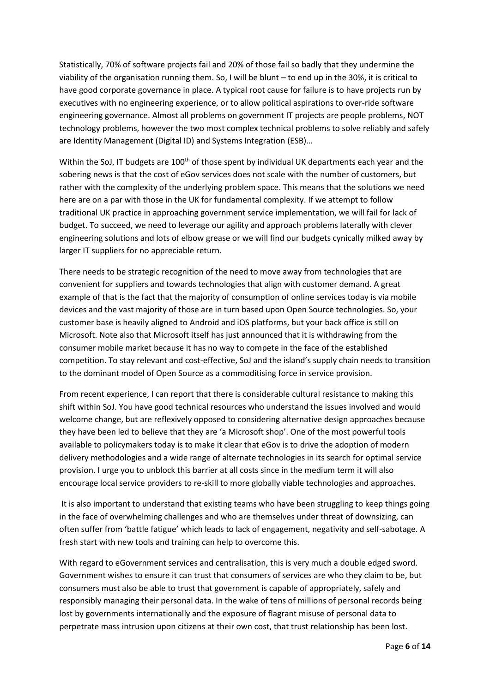Statistically, 70% of software projects fail and 20% of those fail so badly that they undermine the viability of the organisation running them. So, I will be blunt – to end up in the 30%, it is critical to have good corporate governance in place. A typical root cause for failure is to have projects run by executives with no engineering experience, or to allow political aspirations to over-ride software engineering governance. Almost all problems on government IT projects are people problems, NOT technology problems, however the two most complex technical problems to solve reliably and safely are Identity Management (Digital ID) and Systems Integration (ESB)…

Within the SoJ. IT budgets are 100<sup>th</sup> of those spent by individual UK departments each year and the sobering news is that the cost of eGov services does not scale with the number of customers, but rather with the complexity of the underlying problem space. This means that the solutions we need here are on a par with those in the UK for fundamental complexity. If we attempt to follow traditional UK practice in approaching government service implementation, we will fail for lack of budget. To succeed, we need to leverage our agility and approach problems laterally with clever engineering solutions and lots of elbow grease or we will find our budgets cynically milked away by larger IT suppliers for no appreciable return.

There needs to be strategic recognition of the need to move away from technologies that are convenient for suppliers and towards technologies that align with customer demand. A great example of that is the fact that the majority of consumption of online services today is via mobile devices and the vast majority of those are in turn based upon Open Source technologies. So, your customer base is heavily aligned to Android and iOS platforms, but your back office is still on Microsoft. Note also that Microsoft itself has just announced that it is withdrawing from the consumer mobile market because it has no way to compete in the face of the established competition. To stay relevant and cost-effective, SoJ and the island's supply chain needs to transition to the dominant model of Open Source as a commoditising force in service provision.

From recent experience, I can report that there is considerable cultural resistance to making this shift within SoJ. You have good technical resources who understand the issues involved and would welcome change, but are reflexively opposed to considering alternative design approaches because they have been led to believe that they are 'a Microsoft shop'. One of the most powerful tools available to policymakers today is to make it clear that eGov is to drive the adoption of modern delivery methodologies and a wide range of alternate technologies in its search for optimal service provision. I urge you to unblock this barrier at all costs since in the medium term it will also encourage local service providers to re-skill to more globally viable technologies and approaches.

It is also important to understand that existing teams who have been struggling to keep things going in the face of overwhelming challenges and who are themselves under threat of downsizing, can often suffer from 'battle fatigue' which leads to lack of engagement, negativity and self-sabotage. A fresh start with new tools and training can help to overcome this.

With regard to eGovernment services and centralisation, this is very much a double edged sword. Government wishes to ensure it can trust that consumers of services are who they claim to be, but consumers must also be able to trust that government is capable of appropriately, safely and responsibly managing their personal data. In the wake of tens of millions of personal records being lost by governments internationally and the exposure of flagrant misuse of personal data to perpetrate mass intrusion upon citizens at their own cost, that trust relationship has been lost.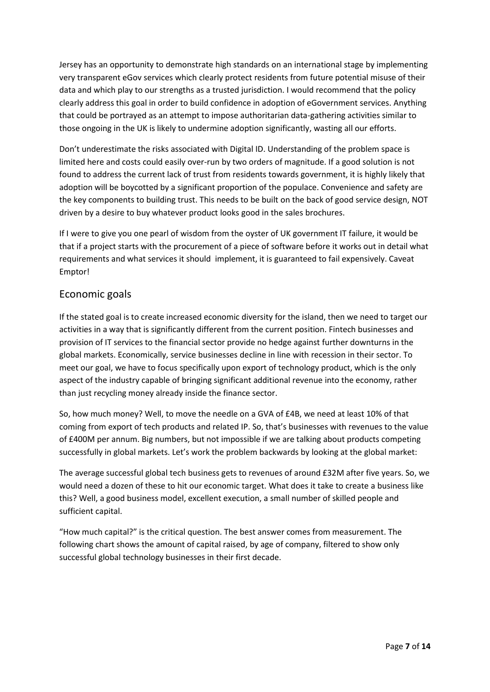Jersey has an opportunity to demonstrate high standards on an international stage by implementing very transparent eGov services which clearly protect residents from future potential misuse of their data and which play to our strengths as a trusted jurisdiction. I would recommend that the policy clearly address this goal in order to build confidence in adoption of eGovernment services. Anything that could be portrayed as an attempt to impose authoritarian data-gathering activities similar to those ongoing in the UK is likely to undermine adoption significantly, wasting all our efforts.

Don't underestimate the risks associated with Digital ID. Understanding of the problem space is limited here and costs could easily over-run by two orders of magnitude. If a good solution is not found to address the current lack of trust from residents towards government, it is highly likely that adoption will be boycotted by a significant proportion of the populace. Convenience and safety are the key components to building trust. This needs to be built on the back of good service design, NOT driven by a desire to buy whatever product looks good in the sales brochures.

If I were to give you one pearl of wisdom from the oyster of UK government IT failure, it would be that if a project starts with the procurement of a piece of software before it works out in detail what requirements and what services it should implement, it is guaranteed to fail expensively. Caveat Emptor!

#### Economic goals

If the stated goal is to create increased economic diversity for the island, then we need to target our activities in a way that is significantly different from the current position. Fintech businesses and provision of IT services to the financial sector provide no hedge against further downturns in the global markets. Economically, service businesses decline in line with recession in their sector. To meet our goal, we have to focus specifically upon export of technology product, which is the only aspect of the industry capable of bringing significant additional revenue into the economy, rather than just recycling money already inside the finance sector.

So, how much money? Well, to move the needle on a GVA of £4B, we need at least 10% of that coming from export of tech products and related IP. So, that's businesses with revenues to the value of £400M per annum. Big numbers, but not impossible if we are talking about products competing successfully in global markets. Let's work the problem backwards by looking at the global market:

The average successful global tech business gets to revenues of around £32M after five years. So, we would need a dozen of these to hit our economic target. What does it take to create a business like this? Well, a good business model, excellent execution, a small number of skilled people and sufficient capital.

"How much capital?" is the critical question. The best answer comes from measurement. The following chart shows the amount of capital raised, by age of company, filtered to show only successful global technology businesses in their first decade.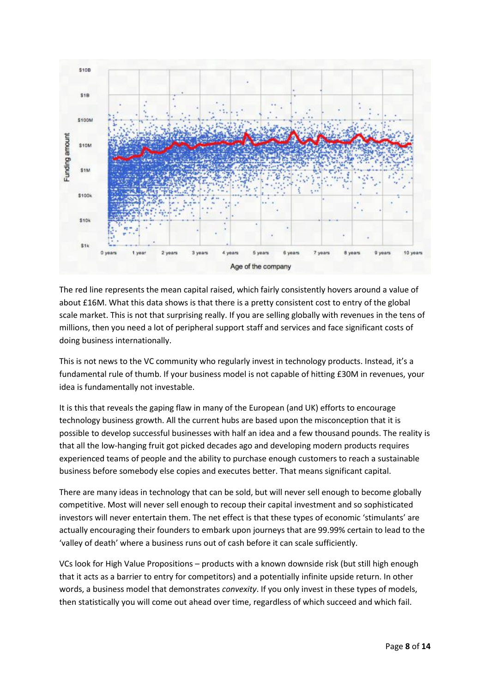

The red line represents the mean capital raised, which fairly consistently hovers around a value of about £16M. What this data shows is that there is a pretty consistent cost to entry of the global scale market. This is not that surprising really. If you are selling globally with revenues in the tens of millions, then you need a lot of peripheral support staff and services and face significant costs of doing business internationally.

This is not news to the VC community who regularly invest in technology products. Instead, it's a fundamental rule of thumb. If your business model is not capable of hitting £30M in revenues, your idea is fundamentally not investable.

It is this that reveals the gaping flaw in many of the European (and UK) efforts to encourage technology business growth. All the current hubs are based upon the misconception that it is possible to develop successful businesses with half an idea and a few thousand pounds. The reality is that all the low-hanging fruit got picked decades ago and developing modern products requires experienced teams of people and the ability to purchase enough customers to reach a sustainable business before somebody else copies and executes better. That means significant capital.

There are many ideas in technology that can be sold, but will never sell enough to become globally competitive. Most will never sell enough to recoup their capital investment and so sophisticated investors will never entertain them. The net effect is that these types of economic 'stimulants' are actually encouraging their founders to embark upon journeys that are 99.99% certain to lead to the 'valley of death' where a business runs out of cash before it can scale sufficiently.

VCs look for High Value Propositions – products with a known downside risk (but still high enough that it acts as a barrier to entry for competitors) and a potentially infinite upside return. In other words, a business model that demonstrates *convexity*. If you only invest in these types of models, then statistically you will come out ahead over time, regardless of which succeed and which fail.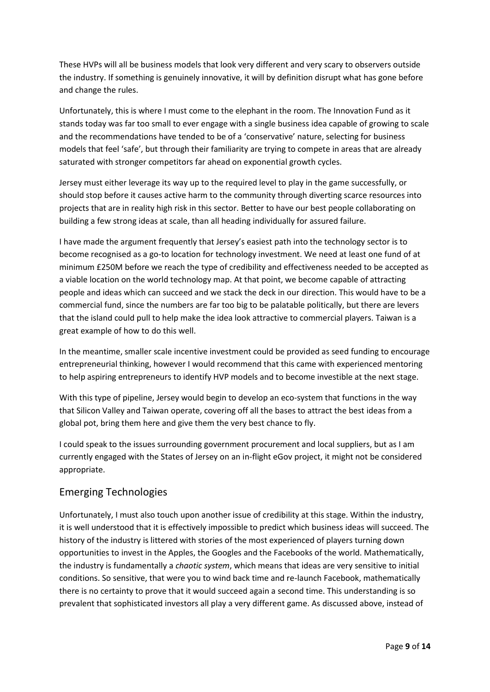These HVPs will all be business models that look very different and very scary to observers outside the industry. If something is genuinely innovative, it will by definition disrupt what has gone before and change the rules.

Unfortunately, this is where I must come to the elephant in the room. The Innovation Fund as it stands today was far too small to ever engage with a single business idea capable of growing to scale and the recommendations have tended to be of a 'conservative' nature, selecting for business models that feel 'safe', but through their familiarity are trying to compete in areas that are already saturated with stronger competitors far ahead on exponential growth cycles.

Jersey must either leverage its way up to the required level to play in the game successfully, or should stop before it causes active harm to the community through diverting scarce resources into projects that are in reality high risk in this sector. Better to have our best people collaborating on building a few strong ideas at scale, than all heading individually for assured failure.

I have made the argument frequently that Jersey's easiest path into the technology sector is to become recognised as a go-to location for technology investment. We need at least one fund of at minimum £250M before we reach the type of credibility and effectiveness needed to be accepted as a viable location on the world technology map. At that point, we become capable of attracting people and ideas which can succeed and we stack the deck in our direction. This would have to be a commercial fund, since the numbers are far too big to be palatable politically, but there are levers that the island could pull to help make the idea look attractive to commercial players. Taiwan is a great example of how to do this well.

In the meantime, smaller scale incentive investment could be provided as seed funding to encourage entrepreneurial thinking, however I would recommend that this came with experienced mentoring to help aspiring entrepreneurs to identify HVP models and to become investible at the next stage.

With this type of pipeline, Jersey would begin to develop an eco-system that functions in the way that Silicon Valley and Taiwan operate, covering off all the bases to attract the best ideas from a global pot, bring them here and give them the very best chance to fly.

I could speak to the issues surrounding government procurement and local suppliers, but as I am currently engaged with the States of Jersey on an in-flight eGov project, it might not be considered appropriate.

# Emerging Technologies

Unfortunately, I must also touch upon another issue of credibility at this stage. Within the industry, it is well understood that it is effectively impossible to predict which business ideas will succeed. The history of the industry is littered with stories of the most experienced of players turning down opportunities to invest in the Apples, the Googles and the Facebooks of the world. Mathematically, the industry is fundamentally a *chaotic system*, which means that ideas are very sensitive to initial conditions. So sensitive, that were you to wind back time and re-launch Facebook, mathematically there is no certainty to prove that it would succeed again a second time. This understanding is so prevalent that sophisticated investors all play a very different game. As discussed above, instead of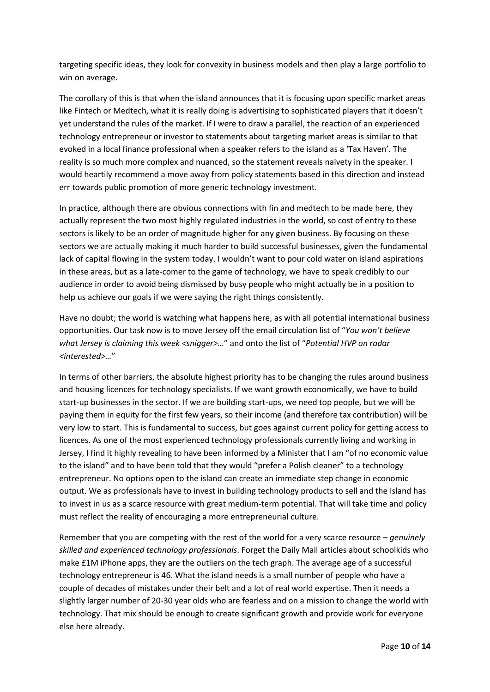targeting specific ideas, they look for convexity in business models and then play a large portfolio to win on average.

The corollary of this is that when the island announces that it is focusing upon specific market areas like Fintech or Medtech, what it is really doing is advertising to sophisticated players that it doesn't yet understand the rules of the market. If I were to draw a parallel, the reaction of an experienced technology entrepreneur or investor to statements about targeting market areas is similar to that evoked in a local finance professional when a speaker refers to the island as a 'Tax Haven'. The reality is so much more complex and nuanced, so the statement reveals naivety in the speaker. I would heartily recommend a move away from policy statements based in this direction and instead err towards public promotion of more generic technology investment.

In practice, although there are obvious connections with fin and medtech to be made here, they actually represent the two most highly regulated industries in the world, so cost of entry to these sectors is likely to be an order of magnitude higher for any given business. By focusing on these sectors we are actually making it much harder to build successful businesses, given the fundamental lack of capital flowing in the system today. I wouldn't want to pour cold water on island aspirations in these areas, but as a late-comer to the game of technology, we have to speak credibly to our audience in order to avoid being dismissed by busy people who might actually be in a position to help us achieve our goals if we were saying the right things consistently.

Have no doubt; the world is watching what happens here, as with all potential international business opportunities. Our task now is to move Jersey off the email circulation list of "*You won't believe what Jersey is claiming this week <snigger>…*" and onto the list of "*Potential HVP on radar <interested>…*"

In terms of other barriers, the absolute highest priority has to be changing the rules around business and housing licences for technology specialists. If we want growth economically, we have to build start-up businesses in the sector. If we are building start-ups, we need top people, but we will be paying them in equity for the first few years, so their income (and therefore tax contribution) will be very low to start. This is fundamental to success, but goes against current policy for getting access to licences. As one of the most experienced technology professionals currently living and working in Jersey, I find it highly revealing to have been informed by a Minister that I am "of no economic value to the island" and to have been told that they would "prefer a Polish cleaner" to a technology entrepreneur. No options open to the island can create an immediate step change in economic output. We as professionals have to invest in building technology products to sell and the island has to invest in us as a scarce resource with great medium-term potential. That will take time and policy must reflect the reality of encouraging a more entrepreneurial culture.

Remember that you are competing with the rest of the world for a very scarce resource – *genuinely skilled and experienced technology professionals*. Forget the Daily Mail articles about schoolkids who make £1M iPhone apps, they are the outliers on the tech graph. The average age of a successful technology entrepreneur is 46. What the island needs is a small number of people who have a couple of decades of mistakes under their belt and a lot of real world expertise. Then it needs a slightly larger number of 20-30 year olds who are fearless and on a mission to change the world with technology. That mix should be enough to create significant growth and provide work for everyone else here already.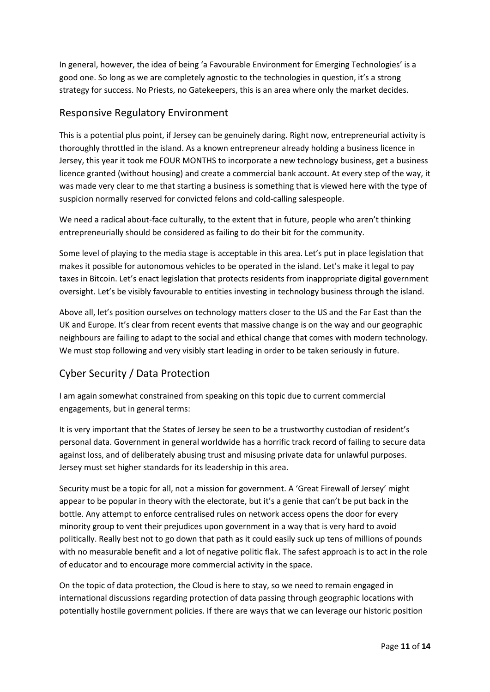In general, however, the idea of being 'a Favourable Environment for Emerging Technologies' is a good one. So long as we are completely agnostic to the technologies in question, it's a strong strategy for success. No Priests, no Gatekeepers, this is an area where only the market decides.

#### Responsive Regulatory Environment

This is a potential plus point, if Jersey can be genuinely daring. Right now, entrepreneurial activity is thoroughly throttled in the island. As a known entrepreneur already holding a business licence in Jersey, this year it took me FOUR MONTHS to incorporate a new technology business, get a business licence granted (without housing) and create a commercial bank account. At every step of the way, it was made very clear to me that starting a business is something that is viewed here with the type of suspicion normally reserved for convicted felons and cold-calling salespeople.

We need a radical about-face culturally, to the extent that in future, people who aren't thinking entrepreneurially should be considered as failing to do their bit for the community.

Some level of playing to the media stage is acceptable in this area. Let's put in place legislation that makes it possible for autonomous vehicles to be operated in the island. Let's make it legal to pay taxes in Bitcoin. Let's enact legislation that protects residents from inappropriate digital government oversight. Let's be visibly favourable to entities investing in technology business through the island.

Above all, let's position ourselves on technology matters closer to the US and the Far East than the UK and Europe. It's clear from recent events that massive change is on the way and our geographic neighbours are failing to adapt to the social and ethical change that comes with modern technology. We must stop following and very visibly start leading in order to be taken seriously in future.

# Cyber Security / Data Protection

I am again somewhat constrained from speaking on this topic due to current commercial engagements, but in general terms:

It is very important that the States of Jersey be seen to be a trustworthy custodian of resident's personal data. Government in general worldwide has a horrific track record of failing to secure data against loss, and of deliberately abusing trust and misusing private data for unlawful purposes. Jersey must set higher standards for its leadership in this area.

Security must be a topic for all, not a mission for government. A 'Great Firewall of Jersey' might appear to be popular in theory with the electorate, but it's a genie that can't be put back in the bottle. Any attempt to enforce centralised rules on network access opens the door for every minority group to vent their prejudices upon government in a way that is very hard to avoid politically. Really best not to go down that path as it could easily suck up tens of millions of pounds with no measurable benefit and a lot of negative politic flak. The safest approach is to act in the role of educator and to encourage more commercial activity in the space.

On the topic of data protection, the Cloud is here to stay, so we need to remain engaged in international discussions regarding protection of data passing through geographic locations with potentially hostile government policies. If there are ways that we can leverage our historic position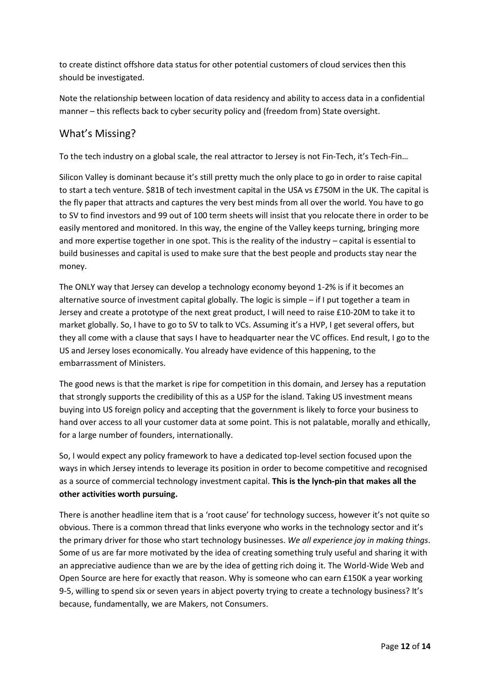to create distinct offshore data status for other potential customers of cloud services then this should be investigated.

Note the relationship between location of data residency and ability to access data in a confidential manner – this reflects back to cyber security policy and (freedom from) State oversight.

# What's Missing?

To the tech industry on a global scale, the real attractor to Jersey is not Fin-Tech, it's Tech-Fin…

Silicon Valley is dominant because it's still pretty much the only place to go in order to raise capital to start a tech venture. \$81B of tech investment capital in the USA vs £750M in the UK. The capital is the fly paper that attracts and captures the very best minds from all over the world. You have to go to SV to find investors and 99 out of 100 term sheets will insist that you relocate there in order to be easily mentored and monitored. In this way, the engine of the Valley keeps turning, bringing more and more expertise together in one spot. This is the reality of the industry – capital is essential to build businesses and capital is used to make sure that the best people and products stay near the money.

The ONLY way that Jersey can develop a technology economy beyond 1-2% is if it becomes an alternative source of investment capital globally. The logic is simple – if I put together a team in Jersey and create a prototype of the next great product, I will need to raise £10-20M to take it to market globally. So, I have to go to SV to talk to VCs. Assuming it's a HVP, I get several offers, but they all come with a clause that says I have to headquarter near the VC offices. End result, I go to the US and Jersey loses economically. You already have evidence of this happening, to the embarrassment of Ministers.

The good news is that the market is ripe for competition in this domain, and Jersey has a reputation that strongly supports the credibility of this as a USP for the island. Taking US investment means buying into US foreign policy and accepting that the government is likely to force your business to hand over access to all your customer data at some point. This is not palatable, morally and ethically, for a large number of founders, internationally.

So, I would expect any policy framework to have a dedicated top-level section focused upon the ways in which Jersey intends to leverage its position in order to become competitive and recognised as a source of commercial technology investment capital. **This is the lynch-pin that makes all the other activities worth pursuing.**

There is another headline item that is a 'root cause' for technology success, however it's not quite so obvious. There is a common thread that links everyone who works in the technology sector and it's the primary driver for those who start technology businesses. *We all experience joy in making things*. Some of us are far more motivated by the idea of creating something truly useful and sharing it with an appreciative audience than we are by the idea of getting rich doing it. The World-Wide Web and Open Source are here for exactly that reason. Why is someone who can earn £150K a year working 9-5, willing to spend six or seven years in abject poverty trying to create a technology business? It's because, fundamentally, we are Makers, not Consumers.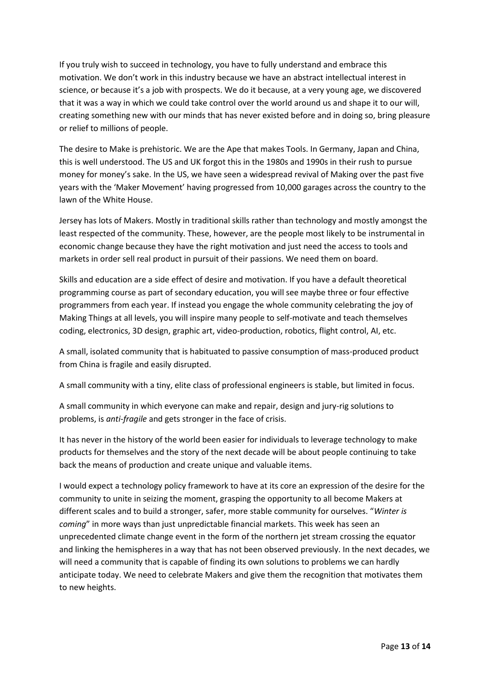If you truly wish to succeed in technology, you have to fully understand and embrace this motivation. We don't work in this industry because we have an abstract intellectual interest in science, or because it's a job with prospects. We do it because, at a very young age, we discovered that it was a way in which we could take control over the world around us and shape it to our will, creating something new with our minds that has never existed before and in doing so, bring pleasure or relief to millions of people.

The desire to Make is prehistoric. We are the Ape that makes Tools. In Germany, Japan and China, this is well understood. The US and UK forgot this in the 1980s and 1990s in their rush to pursue money for money's sake. In the US, we have seen a widespread revival of Making over the past five years with the 'Maker Movement' having progressed from 10,000 garages across the country to the lawn of the White House.

Jersey has lots of Makers. Mostly in traditional skills rather than technology and mostly amongst the least respected of the community. These, however, are the people most likely to be instrumental in economic change because they have the right motivation and just need the access to tools and markets in order sell real product in pursuit of their passions. We need them on board.

Skills and education are a side effect of desire and motivation. If you have a default theoretical programming course as part of secondary education, you will see maybe three or four effective programmers from each year. If instead you engage the whole community celebrating the joy of Making Things at all levels, you will inspire many people to self-motivate and teach themselves coding, electronics, 3D design, graphic art, video-production, robotics, flight control, AI, etc.

A small, isolated community that is habituated to passive consumption of mass-produced product from China is fragile and easily disrupted.

A small community with a tiny, elite class of professional engineers is stable, but limited in focus.

A small community in which everyone can make and repair, design and jury-rig solutions to problems, is *anti-fragile* and gets stronger in the face of crisis.

It has never in the history of the world been easier for individuals to leverage technology to make products for themselves and the story of the next decade will be about people continuing to take back the means of production and create unique and valuable items.

I would expect a technology policy framework to have at its core an expression of the desire for the community to unite in seizing the moment, grasping the opportunity to all become Makers at different scales and to build a stronger, safer, more stable community for ourselves. "*Winter is coming*" in more ways than just unpredictable financial markets. This week has seen an unprecedented climate change event in the form of the northern jet stream crossing the equator and linking the hemispheres in a way that has not been observed previously. In the next decades, we will need a community that is capable of finding its own solutions to problems we can hardly anticipate today. We need to celebrate Makers and give them the recognition that motivates them to new heights.